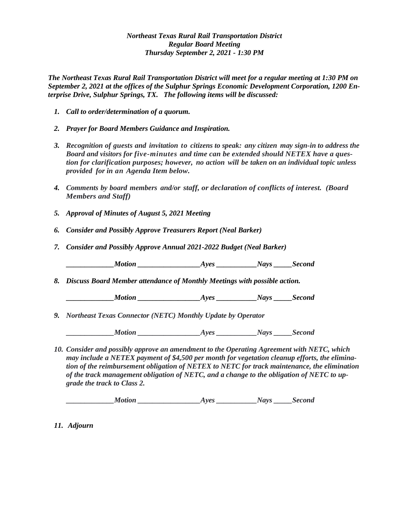## *Northeast Texas Rural Rail Transportation District Regular Board Meeting Thursday September 2, 2021 - 1:30 PM*

*The Northeast Texas Rural Rail Transportation District will meet for a regular meeting at 1:30 PM on September 2, 2021 at the offices of the Sulphur Springs Economic Development Corporation, 1200 Enterprise Drive, Sulphur Springs, TX. The following items will be discussed:*

- *1. Call to order/determination of a quorum.*
- *2. Prayer for Board Members Guidance and Inspiration.*
- *3. Recognition of guests and invitation to citizens to speak: any citizen may sign-in to address the Board and visitors for five-minutes and time can be extended should NETEX have a question for clarification purposes; however, no action will be taken on an individual topic unless provided for in an Agenda Item below.*
- *4. Comments by board members and/or staff, or declaration of conflicts of interest. (Board Members and Staff)*
- *5. Approval of Minutes of August 5, 2021 Meeting*
- *6. Consider and Possibly Approve Treasurers Report (Neal Barker)*
- *7. Consider and Possibly Approve Annual 2021-2022 Budget (Neal Barker)*

*Motion \_\_\_\_\_\_\_\_\_\_\_\_\_\_\_\_\_\_\_\_\_Ayes \_\_\_\_\_\_\_\_\_\_\_\_\_Nays \_\_\_\_\_\_Second* 

*8. Discuss Board Member attendance of Monthly Meetings with possible action.*

*Ayes Motion Ayes Nays Second* 

*9. Northeast Texas Connector (NETC) Monthly Update by Operator*

 *\_\_\_\_\_\_\_\_\_\_\_\_\_Motion \_\_\_\_\_\_\_\_\_\_\_\_\_\_\_\_\_Ayes \_\_\_\_\_\_\_\_\_\_\_Nays \_\_\_\_\_Second* 

*10. Consider and possibly approve an amendment to the Operating Agreement with NETC, which may include a NETEX payment of \$4,500 per month for vegetation cleanup efforts, the elimination of the reimbursement obligation of NETEX to NETC for track maintenance, the elimination of the track management obligation of NETC, and a change to the obligation of NETC to upgrade the track to Class 2.*

 *\_\_\_\_\_\_\_\_\_\_\_\_\_Motion \_\_\_\_\_\_\_\_\_\_\_\_\_\_\_\_\_Ayes \_\_\_\_\_\_\_\_\_\_\_Nays \_\_\_\_\_Second*

*11. Adjourn*